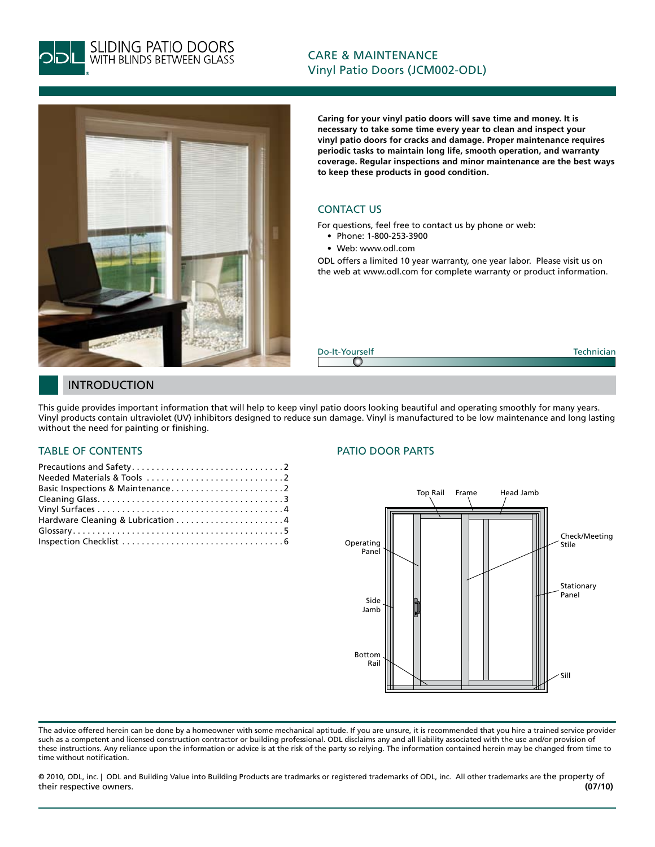

**SLIDING PATIO DOORS**<br>WITH BLINDS BETWEEN GLASS

# CARE & MAINTENANCE Vinyl Patio Doors (JCM002-ODL)



**Caring for your vinyl patio doors will save time and money. It is necessary to take some time every year to clean and inspect your vinyl patio doors for cracks and damage. Proper maintenance requires periodic tasks to maintain long life, smooth operation, and warranty coverage. Regular inspections and minor maintenance are the best ways to keep these products in good condition.**

# CONTACT US

For questions, feel free to contact us by phone or web:

- Phone: 1-800-253-3900
- Web: www.odl.com

ODL offers a limited 10 year warranty, one year labor. Please visit us on the web at www.odl.com for complete warranty or product information.

Do-It-Yourself Technician o

# INTRODUCTION

This guide provides important information that will help to keep vinyl patio doors looking beautiful and operating smoothly for many years. Vinyl products contain ultraviolet (UV) inhibitors designed to reduce sun damage. Vinyl is manufactured to be low maintenance and long lasting without the need for painting or finishing.

# TABLE OF CONTENTS

| Hardware Cleaning & Lubrication 4 |
|-----------------------------------|
|                                   |
|                                   |

### PATIO DOOR PARTS



The advice offered herein can be done by a homeowner with some mechanical aptitude. If you are unsure, it is recommended that you hire a trained service provider such as a competent and licensed construction contractor or building professional. ODL disclaims any and all liability associated with the use and/or provision of these instructions. Any reliance upon the information or advice is at the risk of the party so relying. The information contained herein may be changed from time to time without notification.

© 2010, ODL, inc. | ODL and Building Value into Building Products are tradmarks or registered trademarks of ODL, inc. All other trademarks are the property of their respective owners. **(07/10)**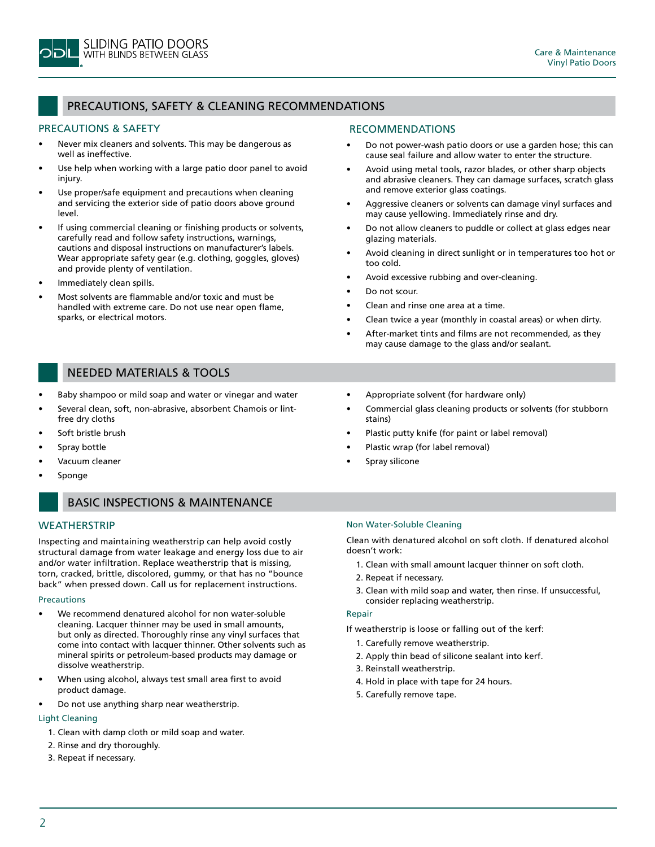

# PRECAUTIONS, SAFETY & CLEANING RECOMMENDATIONS

### PRECAUTIONS & SAFETY

- Never mix cleaners and solvents. This may be dangerous as well as ineffective.
- Use help when working with a large patio door panel to avoid injury.
- Use proper/safe equipment and precautions when cleaning and servicing the exterior side of patio doors above ground level.
- If using commercial cleaning or finishing products or solvents, carefully read and follow safety instructions, warnings, cautions and disposal instructions on manufacturer's labels. Wear appropriate safety gear (e.g. clothing, goggles, gloves) and provide plenty of ventilation.
- Immediately clean spills.
- Most solvents are flammable and/or toxic and must be handled with extreme care. Do not use near open flame, sparks, or electrical motors.

#### RECOMMENDATIONS

- Do not power-wash patio doors or use a garden hose; this can cause seal failure and allow water to enter the structure.
- Avoid using metal tools, razor blades, or other sharp objects and abrasive cleaners. They can damage surfaces, scratch glass and remove exterior glass coatings.
- Aggressive cleaners or solvents can damage vinyl surfaces and may cause yellowing. Immediately rinse and dry.
- Do not allow cleaners to puddle or collect at glass edges near glazing materials.
- Avoid cleaning in direct sunlight or in temperatures too hot or too cold.
- Avoid excessive rubbing and over-cleaning.
- Do not scour.
- Clean and rinse one area at a time.
- Clean twice a year (monthly in coastal areas) or when dirty.
- After-market tints and films are not recommended, as they may cause damage to the glass and/or sealant.

# NEEDED MATERIALS & TOOLS

- Baby shampoo or mild soap and water or vinegar and water
- Several clean, soft, non-abrasive, absorbent Chamois or lintfree dry cloths
- Soft bristle brush
- Spray bottle
- Vacuum cleaner
- **Sponge**

# BASIC INSPECTIONS & MAINTENANCE

### **WEATHERSTRIP**

Inspecting and maintaining weatherstrip can help avoid costly structural damage from water leakage and energy loss due to air and/or water infiltration. Replace weatherstrip that is missing, torn, cracked, brittle, discolored, gummy, or that has no "bounce back" when pressed down. Call us for replacement instructions.

#### **Precautions**

- We recommend denatured alcohol for non water-soluble cleaning. Lacquer thinner may be used in small amounts, but only as directed. Thoroughly rinse any vinyl surfaces that come into contact with lacquer thinner. Other solvents such as mineral spirits or petroleum-based products may damage or dissolve weatherstrip.
- When using alcohol, always test small area first to avoid product damage.
- Do not use anything sharp near weatherstrip.

## Light Cleaning

- 1. Clean with damp cloth or mild soap and water.
- 2. Rinse and dry thoroughly.
- 3. Repeat if necessary.
- Appropriate solvent (for hardware only)
- Commercial glass cleaning products or solvents (for stubborn stains)
- Plastic putty knife (for paint or label removal)
- Plastic wrap (for label removal)
- Spray silicone

#### Non Water-Soluble Cleaning

Clean with denatured alcohol on soft cloth. If denatured alcohol doesn't work:

- 1. Clean with small amount lacquer thinner on soft cloth.
- 2. Repeat if necessary.
- 3. Clean with mild soap and water, then rinse. If unsuccessful, consider replacing weatherstrip.

#### Repair

If weatherstrip is loose or falling out of the kerf:

- 1. Carefully remove weatherstrip.
- 2. Apply thin bead of silicone sealant into kerf.
- 3. Reinstall weatherstrip.
- 4. Hold in place with tape for 24 hours.
- 5. Carefully remove tape.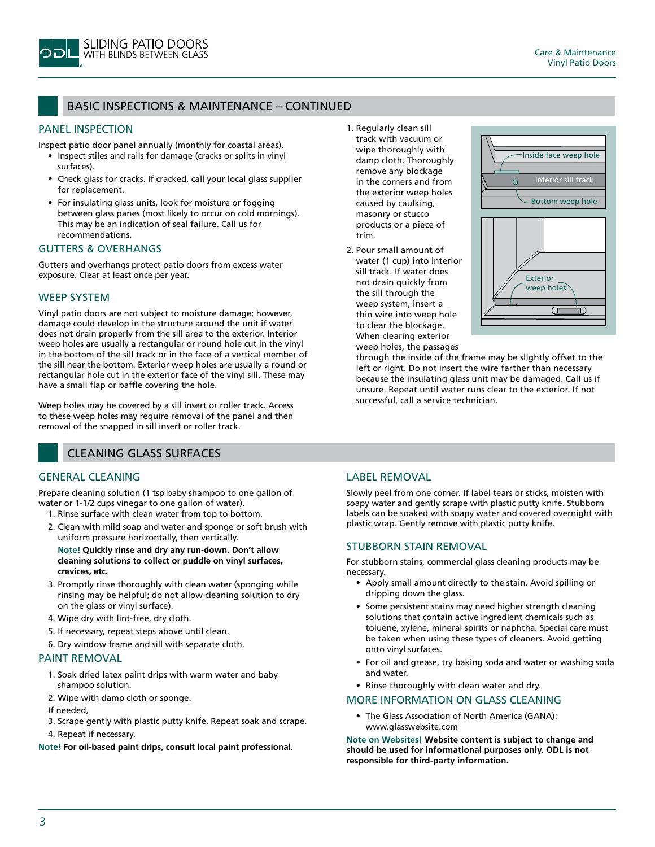

# BASIC INSPECTIONS & MAINTENANCE – CONTINUED

#### PANEL INSPECTION

Inspect patio door panel annually (monthly for coastal areas).

- Inspect stiles and rails for damage (cracks or splits in vinyl surfaces).
- Check glass for cracks. If cracked, call your local glass supplier for replacement.
- For insulating glass units, look for moisture or fogging between glass panes (most likely to occur on cold mornings). This may be an indication of seal failure. Call us for recommendations.

#### GUTTERS & OVERHANGS

Gutters and overhangs protect patio doors from excess water exposure. Clear at least once per year.

#### WEEP SYSTEM

Vinyl patio doors are not subject to moisture damage; however, damage could develop in the structure around the unit if water does not drain properly from the sill area to the exterior. Interior weep holes are usually a rectangular or round hole cut in the vinyl in the bottom of the sill track or in the face of a vertical member of the sill near the bottom. Exterior weep holes are usually a round or rectangular hole cut in the exterior face of the vinyl sill. These may have a small flap or baffle covering the hole.

Weep holes may be covered by a sill insert or roller track. Access to these weep holes may require removal of the panel and then removal of the snapped in sill insert or roller track.

## CLEANING GLASS SURFACES

## GENERAL CLEANING

Prepare cleaning solution (1 tsp baby shampoo to one gallon of water or 1-1/2 cups vinegar to one gallon of water).

- 1. Rinse surface with clean water from top to bottom.
- 2. Clean with mild soap and water and sponge or soft brush with uniform pressure horizontally, then vertically.

**Note! Quickly rinse and dry any run-down. Don't allow cleaning solutions to collect or puddle on vinyl surfaces, crevices, etc.**

- 3. Promptly rinse thoroughly with clean water (sponging while rinsing may be helpful; do not allow cleaning solution to dry on the glass or vinyl surface).
- 4. Wipe dry with lint-free, dry cloth.
- 5. If necessary, repeat steps above until clean.
- 6. Dry window frame and sill with separate cloth.

#### PAINT REMOVAL

- 1. Soak dried latex paint drips with warm water and baby shampoo solution.
- 2. Wipe with damp cloth or sponge.
- If needed,
- 3. Scrape gently with plastic putty knife. Repeat soak and scrape.
- 4. Repeat if necessary.

**Note! For oil-based paint drips, consult local paint professional.**

- 1. Regularly clean sill track with vacuum or wipe thoroughly with damp cloth. Thoroughly remove any blockage in the corners and from the exterior weep holes caused by caulking, masonry or stucco products or a piece of trim.
- 2. Pour small amount of water (1 cup) into interior sill track. If water does not drain quickly from the sill through the weep system, insert a thin wire into weep hole to clear the blockage. When clearing exterior weep holes, the passages



through the inside of the frame may be slightly offset to the left or right. Do not insert the wire farther than necessary because the insulating glass unit may be damaged. Call us if unsure. Repeat until water runs clear to the exterior. If not successful, call a service technician.

# LABEL REMOVAL

Slowly peel from one corner. If label tears or sticks, moisten with soapy water and gently scrape with plastic putty knife. Stubborn labels can be soaked with soapy water and covered overnight with plastic wrap. Gently remove with plastic putty knife.

### STUBBORN STAIN REMOVAL

For stubborn stains, commercial glass cleaning products may be necessary.

- Apply small amount directly to the stain. Avoid spilling or dripping down the glass.
- Some persistent stains may need higher strength cleaning solutions that contain active ingredient chemicals such as toluene, xylene, mineral spirits or naphtha. Special care must be taken when using these types of cleaners. Avoid getting onto vinyl surfaces.
- For oil and grease, try baking soda and water or washing soda and water.
- Rinse thoroughly with clean water and dry.

#### MORE INFORMATION ON GLASS CLEANING

• The Glass Association of North America (GANA): www.glasswebsite.com

**Note on Websites! Website content is subject to change and should be used for informational purposes only. ODL is not responsible for third-party information.**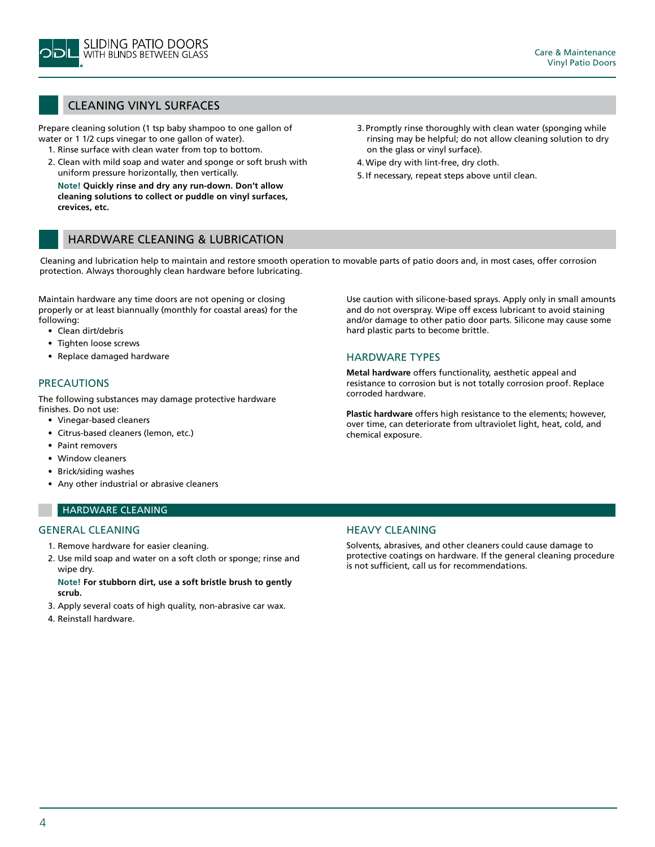

# CLEANING VINYL SURFACES

Prepare cleaning solution (1 tsp baby shampoo to one gallon of water or 1 1/2 cups vinegar to one gallon of water).

- 1. Rinse surface with clean water from top to bottom.
- 2. Clean with mild soap and water and sponge or soft brush with uniform pressure horizontally, then vertically.

**Note! Quickly rinse and dry any run-down. Don't allow cleaning solutions to collect or puddle on vinyl surfaces, crevices, etc.**

- 3. Promptly rinse thoroughly with clean water (sponging while rinsing may be helpful; do not allow cleaning solution to dry on the glass or vinyl surface).
- 4.Wipe dry with lint-free, dry cloth.
- 5. If necessary, repeat steps above until clean.

## HARDWARE CLEANING & LUBRICATION

Cleaning and lubrication help to maintain and restore smooth operation to movable parts of patio doors and, in most cases, offer corrosion protection. Always thoroughly clean hardware before lubricating.

Maintain hardware any time doors are not opening or closing properly or at least biannually (monthly for coastal areas) for the following:

- Clean dirt/debris
- Tighten loose screws
- Replace damaged hardware

#### PRECAUTIONS

The following substances may damage protective hardware finishes. Do not use:

- Vinegar-based cleaners
- Citrus-based cleaners (lemon, etc.)
- Paint removers
- Window cleaners
- Brick/siding washes
- Any other industrial or abrasive cleaners

### HARDWARE CLEANING

#### General Cleaning

- 1. Remove hardware for easier cleaning.
- 2. Use mild soap and water on a soft cloth or sponge; rinse and wipe dry.

**Note! For stubborn dirt, use a soft bristle brush to gently scrub.**

- 3. Apply several coats of high quality, non-abrasive car wax.
- 4. Reinstall hardware.

Use caution with silicone-based sprays. Apply only in small amounts and do not overspray. Wipe off excess lubricant to avoid staining and/or damage to other patio door parts. Silicone may cause some hard plastic parts to become brittle.

#### HARDWARE TYPES

**Metal hardware** offers functionality, aesthetic appeal and resistance to corrosion but is not totally corrosion proof. Replace corroded hardware.

**Plastic hardware** offers high resistance to the elements; however, over time, can deteriorate from ultraviolet light, heat, cold, and chemical exposure.

# Heavy Cleaning

Solvents, abrasives, and other cleaners could cause damage to protective coatings on hardware. If the general cleaning procedure is not sufficient, call us for recommendations.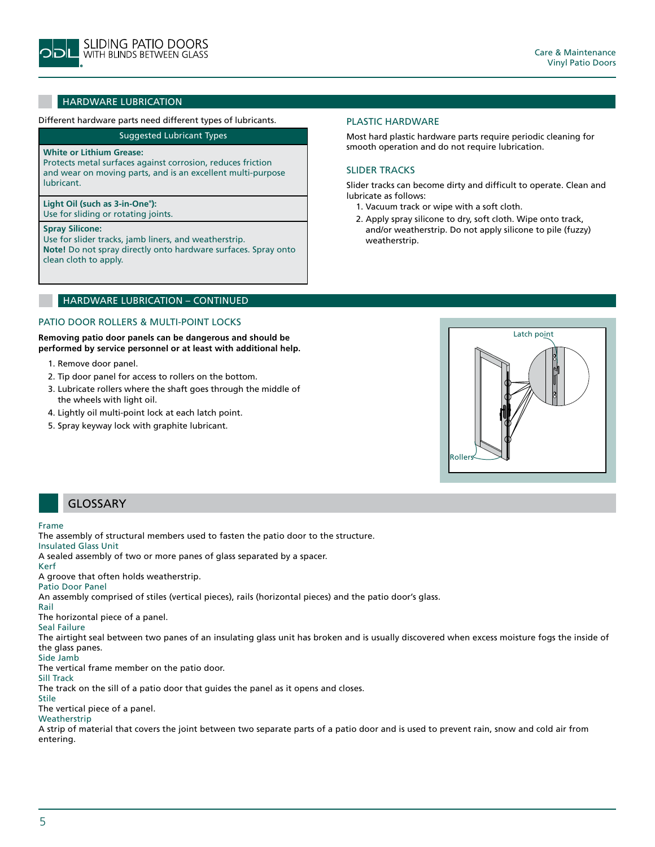

# HARDWARE LUBRICATION

#### Different hardware parts need different types of lubricants.

Suggested Lubricant Types

#### **White or Lithium Grease:**

Protects metal surfaces against corrosion, reduces friction and wear on moving parts, and is an excellent multi-purpose lubricant.

## **Light Oil (such as 3-in-One® ):**

Use for sliding or rotating joints.

#### **Spray Silicone:**

Use for slider tracks, jamb liners, and weatherstrip. **Note!** Do not spray directly onto hardware surfaces. Spray onto clean cloth to apply.

#### HARDWARE LUBRICATION – CONTINUED

#### Patio Door Rollers & Multi-Point Locks

**Removing patio door panels can be dangerous and should be performed by service personnel or at least with additional help.**

- 1. Remove door panel.
- 2. Tip door panel for access to rollers on the bottom.
- 3. Lubricate rollers where the shaft goes through the middle of the wheels with light oil.
- 4. Lightly oil multi-point lock at each latch point.
- 5. Spray keyway lock with graphite lubricant.

#### Plastic Hardware

Most hard plastic hardware parts require periodic cleaning for smooth operation and do not require lubrication.

#### Slider Tracks

Slider tracks can become dirty and difficult to operate. Clean and lubricate as follows:

- 1. Vacuum track or wipe with a soft cloth.
- 2. Apply spray silicone to dry, soft cloth. Wipe onto track, and/or weatherstrip. Do not apply silicone to pile (fuzzy) weatherstrip.



# GLOSSARY

#### Frame

The assembly of structural members used to fasten the patio door to the structure.

Insulated Glass Unit

A sealed assembly of two or more panes of glass separated by a spacer.

Kerf

A groove that often holds weatherstrip.

Patio Door Panel

An assembly comprised of stiles (vertical pieces), rails (horizontal pieces) and the patio door's glass.

Rail

The horizontal piece of a panel. Seal Failure

The airtight seal between two panes of an insulating glass unit has broken and is usually discovered when excess moisture fogs the inside of the glass panes.

#### Side Jamb

The vertical frame member on the patio door.

Sill Track The track on the sill of a patio door that guides the panel as it opens and closes.

Stile The vertical piece of a panel.

Weatherstrip

A strip of material that covers the joint between two separate parts of a patio door and is used to prevent rain, snow and cold air from entering.